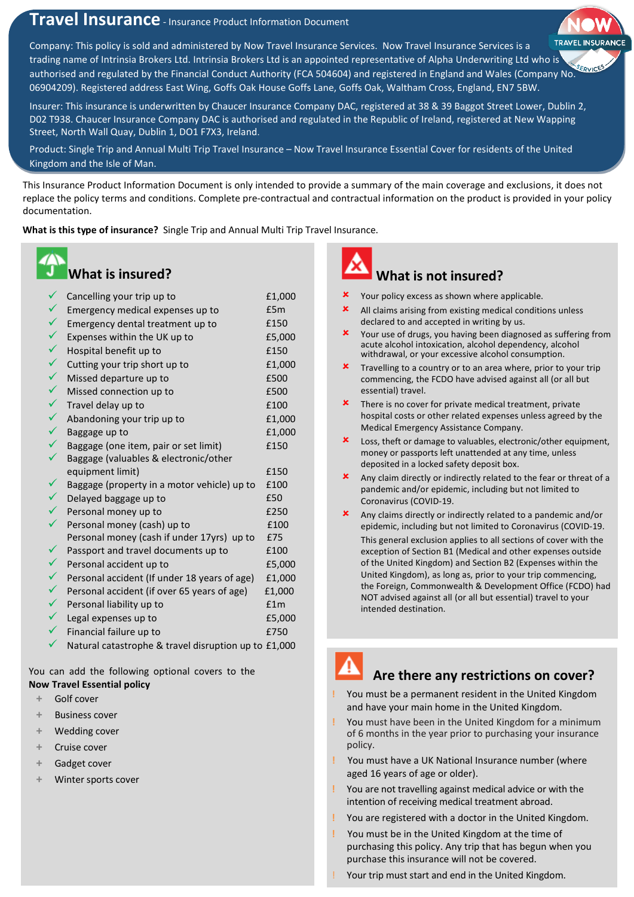# **Travel Insurance** - Insurance Product Information Document

Company: This policy is sold and administered by Now Travel Insurance Services. Now Travel Insurance Services is a trading name of Intrinsia Brokers Ltd. Intrinsia Brokers Ltd is an appointed representative of Alpha Underwriting Ltd who is authorised and regulated by the Financial Conduct Authority (FCA 504604) and registered in England and Wales (Company No. 06904209). Registered address East Wing, Goffs Oak House Goffs Lane, Goffs Oak, Waltham Cross, England, EN7 5BW.

Insurer: This insurance is underwritten by Chaucer Insurance Company DAC, registered at 38 & 39 Baggot Street Lower, Dublin 2, D02 T938. Chaucer Insurance Company DAC is authorised and regulated in the Republic of Ireland, registered at New Wapping Street, North Wall Quay, Dublin 1, DO1 F7X3, Ireland.

Product: Single Trip and Annual Multi Trip Travel Insurance – Now Travel Insurance Essential Cover for residents of the United Kingdom and the Isle of Man.

This Insurance Product Information Document is only intended to provide a summary of the main coverage and exclusions, it does not replace the policy terms and conditions. Complete pre-contractual and contractual information on the product is provided in your policy documentation.

**What is this type of insurance?** Single Trip and Annual Multi Trip Travel Insurance.

### **What is insured?**

| $\checkmark$ | Cancelling your trip up to                           | £1,000 |
|--------------|------------------------------------------------------|--------|
| $\checkmark$ | Emergency medical expenses up to                     | £5m    |
| $\checkmark$ | Emergency dental treatment up to                     | £150   |
| $\checkmark$ | Expenses within the UK up to                         | £5,000 |
| $\checkmark$ | Hospital benefit up to                               | £150   |
| $\checkmark$ | Cutting your trip short up to                        | £1,000 |
| $\checkmark$ | Missed departure up to                               | £500   |
| $\checkmark$ | Missed connection up to                              | £500   |
| $\checkmark$ | Travel delay up to                                   | £100   |
| $\checkmark$ | Abandoning your trip up to                           | £1,000 |
| $\checkmark$ | Baggage up to                                        | £1,000 |
| $\checkmark$ | Baggage (one item, pair or set limit)                | £150   |
|              | Baggage (valuables & electronic/other                |        |
|              | equipment limit)                                     | £150   |
|              | Baggage (property in a motor vehicle) up to          | £100   |
| $\checkmark$ | Delayed baggage up to                                | £50    |
| $\checkmark$ | Personal money up to                                 | £250   |
| $\checkmark$ | Personal money (cash) up to                          | £100   |
|              | Personal money (cash if under 17yrs) up to           | £75    |
|              | Passport and travel documents up to                  | £100   |
| ✓            | Personal accident up to                              | £5,000 |
| $\checkmark$ | Personal accident (If under 18 years of age)         | £1,000 |
| $\checkmark$ | Personal accident (if over 65 years of age)          | £1,000 |
| $\checkmark$ | Personal liability up to                             | f1m    |
| $\checkmark$ | Legal expenses up to                                 | £5,000 |
| ✓            | Financial failure up to                              | £750   |
|              | Natural catastrophe & travel disruption up to £1,000 |        |

You can add the following optional covers to the **Now Travel Essential policy**

- **+** Golf cover
- **+** Business cover
- **+** Wedding cover
- **+** Cruise cover
- **+** Gadget cover
- **+** Winter sports cover



## **What is not insured?**

- Your policy excess as shown where applicable.
- All claims arising from existing medical conditions unless declared to and accepted in writing by us.
- X Your use of drugs, you having been diagnosed as suffering from acute alcohol intoxication, alcohol dependency, alcohol withdrawal, or your excessive alcohol consumption.
- Travelling to a country or to an area where, prior to your trip commencing, the FCDO have advised against all (or all but essential) travel.
- There is no cover for private medical treatment, private hospital costs or other related expenses unless agreed by the Medical Emergency Assistance Company.
- Loss, theft or damage to valuables, electronic/other equipment, money or passports left unattended at any time, unless deposited in a locked safety deposit box.
- **x** Any claim directly or indirectly related to the fear or threat of a pandemic and/or epidemic, including but not limited to Coronavirus (COVID-19.
- Any claims directly or indirectly related to a pandemic and/or epidemic, including but not limited to Coronavirus (COVID-19. This general exclusion applies to all sections of cover with the exception of Section B1 (Medical and other expenses outside of the United Kingdom) and Section B2 (Expenses within the United Kingdom), as long as, prior to your trip commencing, the Foreign, Commonwealth & Development Office (FCDO) had NOT advised against all (or all but essential) travel to your intended destination.

# **Are there any restrictions on cover?**

- **!** You must be a permanent resident in the United Kingdom and have your main home in the United Kingdom.
- **!** You must have been in the United Kingdom for a minimum of 6 months in the year prior to purchasing your insurance policy.
- **!** You must have a UK National Insurance number (where aged 16 years of age or older).
- **!** You are not travelling against medical advice or with the intention of receiving medical treatment abroad.
- **!** You are registered with a doctor in the United Kingdom.
- **!** You must be in the United Kingdom at the time of purchasing this policy. Any trip that has begun when you purchase this insurance will not be covered.
- Your trip must start and end in the United Kingdom.